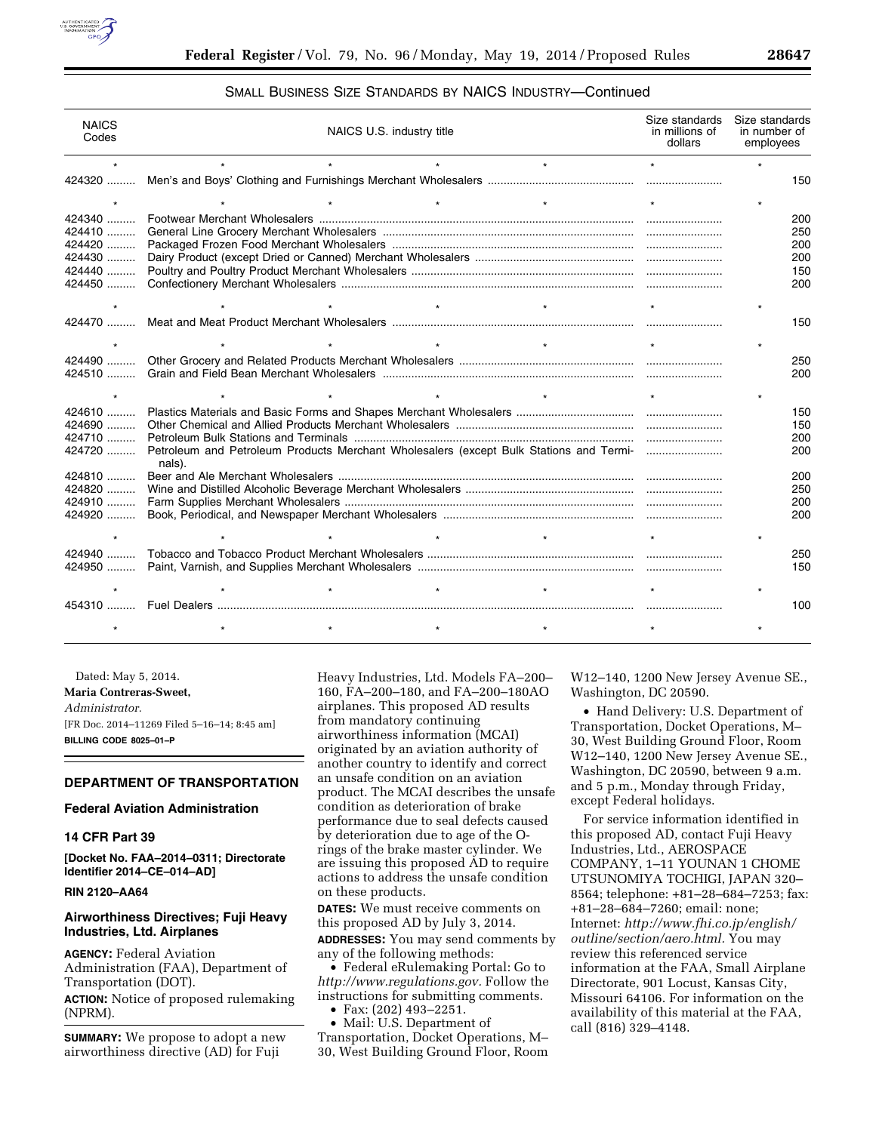

# SMALL BUSINESS SIZE STANDARDS BY NAICS INDUSTRY—Continued

| <b>NAICS</b><br>Codes | NAICS U.S. industry title                                                                        |         |         | Size standards<br>in millions of<br>dollars | Size standards<br>in number of<br>employees |
|-----------------------|--------------------------------------------------------------------------------------------------|---------|---------|---------------------------------------------|---------------------------------------------|
|                       |                                                                                                  |         | $\star$ | $\star$                                     |                                             |
| 424320                |                                                                                                  |         |         |                                             | 150                                         |
|                       |                                                                                                  |         |         |                                             |                                             |
| 424340                |                                                                                                  |         |         |                                             | 200                                         |
| 424410                |                                                                                                  |         |         |                                             | 250                                         |
| 424420                |                                                                                                  |         |         |                                             | 200                                         |
| 424430                | 200                                                                                              |         |         |                                             |                                             |
| 424440                |                                                                                                  |         |         |                                             | 150                                         |
|                       |                                                                                                  |         |         |                                             | 200                                         |
|                       |                                                                                                  | $\star$ | $\star$ |                                             |                                             |
|                       |                                                                                                  |         |         |                                             | 150                                         |
|                       |                                                                                                  |         |         |                                             |                                             |
| 424490                |                                                                                                  |         |         |                                             | 250                                         |
| $424510$              |                                                                                                  |         |         |                                             | 200                                         |
|                       |                                                                                                  |         |         |                                             |                                             |
|                       |                                                                                                  |         |         |                                             |                                             |
| 424610                |                                                                                                  |         |         |                                             | 150                                         |
| $424690$              |                                                                                                  |         |         |                                             | 150                                         |
| 424710                |                                                                                                  |         |         |                                             | 200                                         |
| 424720                | Petroleum and Petroleum Products Merchant Wholesalers (except Bulk Stations and Termi-<br>nals). |         |         |                                             | 200                                         |
| 424810                |                                                                                                  |         |         |                                             | 200                                         |
| 424820                |                                                                                                  |         |         |                                             | 250                                         |
|                       |                                                                                                  |         |         |                                             | 200                                         |
| 424920                |                                                                                                  |         |         |                                             | 200                                         |
|                       |                                                                                                  |         |         |                                             |                                             |
|                       |                                                                                                  |         |         |                                             | 250                                         |
|                       |                                                                                                  |         |         |                                             | 150                                         |
|                       |                                                                                                  | $\star$ | $\star$ |                                             |                                             |
|                       |                                                                                                  |         |         |                                             | 100                                         |
|                       |                                                                                                  |         |         |                                             |                                             |
|                       |                                                                                                  |         |         |                                             |                                             |

Dated: May 5, 2014. **Maria Contreras-Sweet,**  *Administrator.*  [FR Doc. 2014–11269 Filed 5–16–14; 8:45 am] **BILLING CODE 8025–01–P** 

### **DEPARTMENT OF TRANSPORTATION**

## **Federal Aviation Administration**

## **14 CFR Part 39**

**[Docket No. FAA–2014–0311; Directorate Identifier 2014–CE–014–AD]** 

### **RIN 2120–AA64**

# **Airworthiness Directives; Fuji Heavy Industries, Ltd. Airplanes**

**AGENCY:** Federal Aviation Administration (FAA), Department of Transportation (DOT). **ACTION:** Notice of proposed rulemaking (NPRM).

**SUMMARY:** We propose to adopt a new airworthiness directive (AD) for Fuji

Heavy Industries, Ltd. Models FA–200– 160, FA–200–180, and FA–200–180AO airplanes. This proposed AD results from mandatory continuing airworthiness information (MCAI) originated by an aviation authority of another country to identify and correct an unsafe condition on an aviation product. The MCAI describes the unsafe condition as deterioration of brake performance due to seal defects caused by deterioration due to age of the Orings of the brake master cylinder. We are issuing this proposed AD to require actions to address the unsafe condition on these products.

**DATES:** We must receive comments on this proposed AD by July 3, 2014.

**ADDRESSES:** You may send comments by any of the following methods:

• Federal eRulemaking Portal: Go to *[http://www.regulations.gov.](http://www.regulations.gov)* Follow the instructions for submitting comments.

• Fax: (202) 493–2251.

• Mail: U.S. Department of Transportation, Docket Operations, M– 30, West Building Ground Floor, Room W12–140, 1200 New Jersey Avenue SE., Washington, DC 20590.

• Hand Delivery: U.S. Department of Transportation, Docket Operations, M– 30, West Building Ground Floor, Room W12–140, 1200 New Jersey Avenue SE., Washington, DC 20590, between 9 a.m. and 5 p.m., Monday through Friday, except Federal holidays.

For service information identified in this proposed AD, contact Fuji Heavy Industries, Ltd., AEROSPACE COMPANY, 1–11 YOUNAN 1 CHOME UTSUNOMIYA TOCHIGI, JAPAN 320– 8564; telephone: +81–28–684–7253; fax: +81–28–684–7260; email: none; Internet: *[http://www.fhi.co.jp/english/](http://www.fhi.co.jp/english/outline/section/aero.html) [outline/section/aero.html.](http://www.fhi.co.jp/english/outline/section/aero.html)* You may review this referenced service information at the FAA, Small Airplane Directorate, 901 Locust, Kansas City, Missouri 64106. For information on the availability of this material at the FAA, call (816) 329–4148.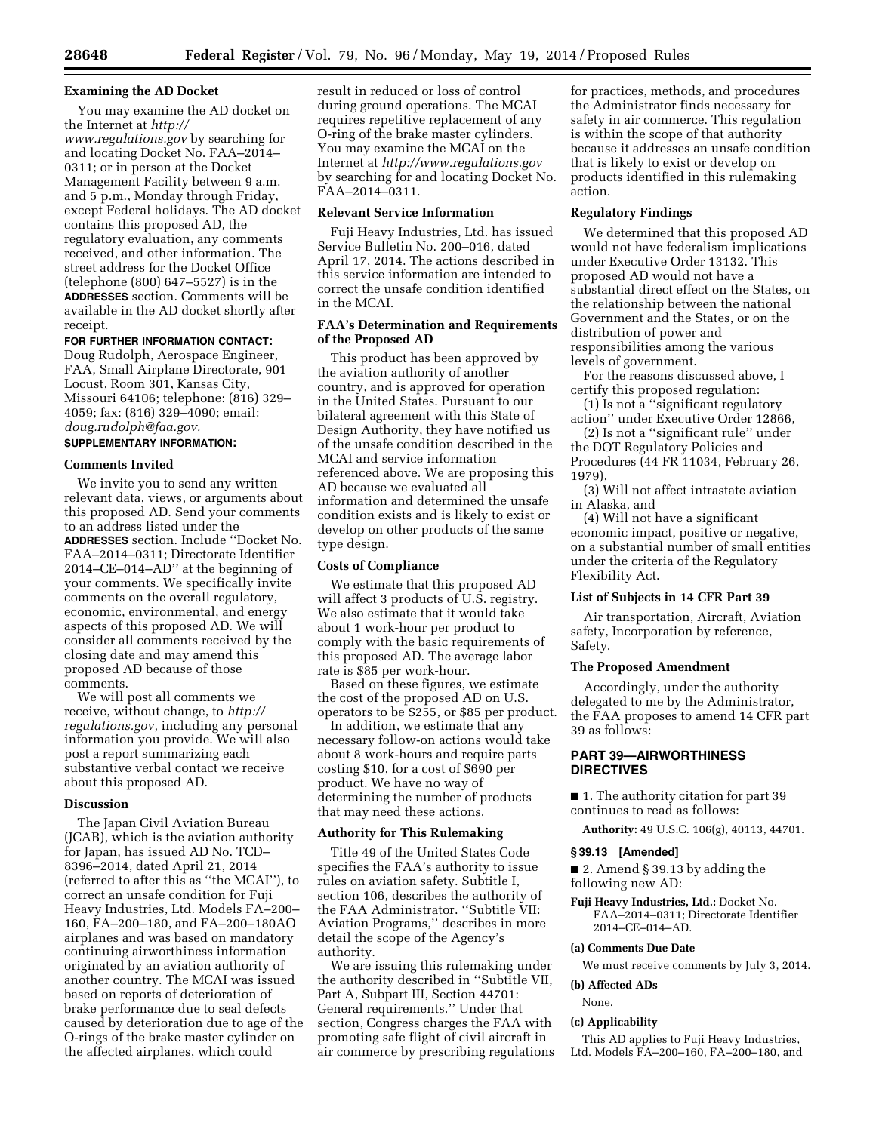## **Examining the AD Docket**

You may examine the AD docket on the Internet at *[http://](http://www.regulations.gov)*

*[www.regulations.gov](http://www.regulations.gov)* by searching for and locating Docket No. FAA–2014– 0311; or in person at the Docket Management Facility between 9 a.m. and 5 p.m., Monday through Friday, except Federal holidays. The AD docket contains this proposed AD, the regulatory evaluation, any comments received, and other information. The street address for the Docket Office (telephone (800) 647–5527) is in the **ADDRESSES** section. Comments will be available in the AD docket shortly after receipt.

## **FOR FURTHER INFORMATION CONTACT:**

Doug Rudolph, Aerospace Engineer, FAA, Small Airplane Directorate, 901 Locust, Room 301, Kansas City, Missouri 64106; telephone: (816) 329– 4059; fax: (816) 329–4090; email: *[doug.rudolph@faa.gov.](mailto:doug.rudolph@faa.gov)* 

# **SUPPLEMENTARY INFORMATION:**

## **Comments Invited**

We invite you to send any written relevant data, views, or arguments about this proposed AD. Send your comments to an address listed under the **ADDRESSES** section. Include ''Docket No. FAA–2014–0311; Directorate Identifier 2014–CE–014–AD'' at the beginning of your comments. We specifically invite comments on the overall regulatory, economic, environmental, and energy aspects of this proposed AD. We will consider all comments received by the closing date and may amend this proposed AD because of those comments.

We will post all comments we receive, without change, to *[http://](http://regulations.gov) [regulations.gov,](http://regulations.gov)* including any personal information you provide. We will also post a report summarizing each substantive verbal contact we receive about this proposed AD.

#### **Discussion**

The Japan Civil Aviation Bureau (JCAB), which is the aviation authority for Japan, has issued AD No. TCD– 8396–2014, dated April 21, 2014 (referred to after this as ''the MCAI''), to correct an unsafe condition for Fuji Heavy Industries, Ltd. Models FA–200– 160, FA–200–180, and FA–200–180AO airplanes and was based on mandatory continuing airworthiness information originated by an aviation authority of another country. The MCAI was issued based on reports of deterioration of brake performance due to seal defects caused by deterioration due to age of the O-rings of the brake master cylinder on the affected airplanes, which could

result in reduced or loss of control during ground operations. The MCAI requires repetitive replacement of any O-ring of the brake master cylinders. You may examine the MCAI on the Internet at *<http://www.regulations.gov>*  by searching for and locating Docket No. FAA–2014–0311.

#### **Relevant Service Information**

Fuji Heavy Industries, Ltd. has issued Service Bulletin No. 200–016, dated April 17, 2014. The actions described in this service information are intended to correct the unsafe condition identified in the MCAI.

# **FAA's Determination and Requirements of the Proposed AD**

This product has been approved by the aviation authority of another country, and is approved for operation in the United States. Pursuant to our bilateral agreement with this State of Design Authority, they have notified us of the unsafe condition described in the MCAI and service information referenced above. We are proposing this AD because we evaluated all information and determined the unsafe condition exists and is likely to exist or develop on other products of the same type design.

## **Costs of Compliance**

We estimate that this proposed AD will affect 3 products of U.S. registry. We also estimate that it would take about 1 work-hour per product to comply with the basic requirements of this proposed AD. The average labor rate is \$85 per work-hour.

Based on these figures, we estimate the cost of the proposed AD on U.S. operators to be \$255, or \$85 per product.

In addition, we estimate that any necessary follow-on actions would take about 8 work-hours and require parts costing \$10, for a cost of \$690 per product. We have no way of determining the number of products that may need these actions.

# **Authority for This Rulemaking**

Title 49 of the United States Code specifies the FAA's authority to issue rules on aviation safety. Subtitle I, section 106, describes the authority of the FAA Administrator. ''Subtitle VII: Aviation Programs,'' describes in more detail the scope of the Agency's authority.

We are issuing this rulemaking under the authority described in ''Subtitle VII, Part A, Subpart III, Section 44701: General requirements.'' Under that section, Congress charges the FAA with promoting safe flight of civil aircraft in air commerce by prescribing regulations

for practices, methods, and procedures the Administrator finds necessary for safety in air commerce. This regulation is within the scope of that authority because it addresses an unsafe condition that is likely to exist or develop on products identified in this rulemaking action.

#### **Regulatory Findings**

We determined that this proposed AD would not have federalism implications under Executive Order 13132. This proposed AD would not have a substantial direct effect on the States, on the relationship between the national Government and the States, or on the distribution of power and responsibilities among the various levels of government.

For the reasons discussed above, I certify this proposed regulation:

(1) Is not a ''significant regulatory action'' under Executive Order 12866,

(2) Is not a ''significant rule'' under the DOT Regulatory Policies and Procedures (44 FR 11034, February 26, 1979),

(3) Will not affect intrastate aviation in Alaska, and

(4) Will not have a significant economic impact, positive or negative, on a substantial number of small entities under the criteria of the Regulatory Flexibility Act.

# **List of Subjects in 14 CFR Part 39**

Air transportation, Aircraft, Aviation safety, Incorporation by reference, Safety.

## **The Proposed Amendment**

Accordingly, under the authority delegated to me by the Administrator, the FAA proposes to amend 14 CFR part 39 as follows:

# **PART 39—AIRWORTHINESS DIRECTIVES**

■ 1. The authority citation for part 39 continues to read as follows:

**Authority:** 49 U.S.C. 106(g), 40113, 44701.

#### **§ 39.13 [Amended]**

■ 2. Amend § 39.13 by adding the following new AD:

**Fuji Heavy Industries, Ltd.:** Docket No. FAA–2014–0311; Directorate Identifier 2014–CE–014–AD.

## **(a) Comments Due Date**

We must receive comments by July 3, 2014.

**(b) Affected ADs** 

## None.

#### **(c) Applicability**

This AD applies to Fuji Heavy Industries, Ltd. Models FA–200–160, FA–200–180, and